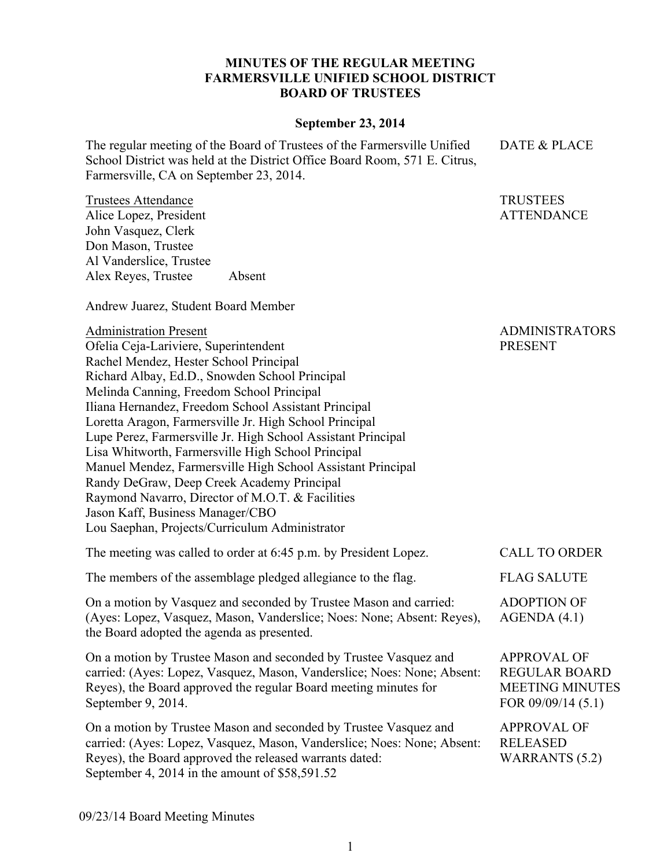## **MINUTES OF THE REGULAR MEETING FARMERSVILLE UNIFIED SCHOOL DISTRICT BOARD OF TRUSTEES**

## **September 23, 2014**

The regular meeting of the Board of Trustees of the Farmersville Unified School District was held at the District Office Board Room, 571 E. Citrus, Farmersville, CA on September 23, 2014.

Trustees Attendance Alice Lopez, President John Vasquez, Clerk Don Mason, Trustee Al Vanderslice, Trustee Alex Reyes, Trustee Absent

Andrew Juarez, Student Board Member

Administration Present Ofelia Ceja-Lariviere, Superintendent Rachel Mendez, Hester School Principal Richard Albay, Ed.D., Snowden School Principal Melinda Canning, Freedom School Principal Iliana Hernandez, Freedom School Assistant Principal Loretta Aragon, Farmersville Jr. High School Principal Lupe Perez, Farmersville Jr. High School Assistant Principal Lisa Whitworth, Farmersville High School Principal Manuel Mendez, Farmersville High School Assistant Principal Randy DeGraw, Deep Creek Academy Principal Raymond Navarro, Director of M.O.T. & Facilities Jason Kaff, Business Manager/CBO Lou Saephan, Projects/Curriculum Administrator ADMINISTRATORS PRESENT The meeting was called to order at 6:45 p.m. by President Lopez. CALL TO ORDER

The members of the assemblage pledged allegiance to the flag. FLAG SALUTE

On a motion by Vasquez and seconded by Trustee Mason and carried: (Ayes: Lopez, Vasquez, Mason, Vanderslice; Noes: None; Absent: Reyes), the Board adopted the agenda as presented. ADOPTION OF AGENDA (4.1)

On a motion by Trustee Mason and seconded by Trustee Vasquez and carried: (Ayes: Lopez, Vasquez, Mason, Vanderslice; Noes: None; Absent: Reyes), the Board approved the regular Board meeting minutes for September 9, 2014.

On a motion by Trustee Mason and seconded by Trustee Vasquez and carried: (Ayes: Lopez, Vasquez, Mason, Vanderslice; Noes: None; Absent: Reyes), the Board approved the released warrants dated: September 4, 2014 in the amount of \$58,591.52 APPROVAL OF RELEASED WARRANTS (5.2)

09/23/14 Board Meeting Minutes

APPROVAL OF REGULAR BOARD MEETING MINUTES FOR 09/09/14 (5.1)

DATE & PLACE

TRUSTEES ATTENDANCE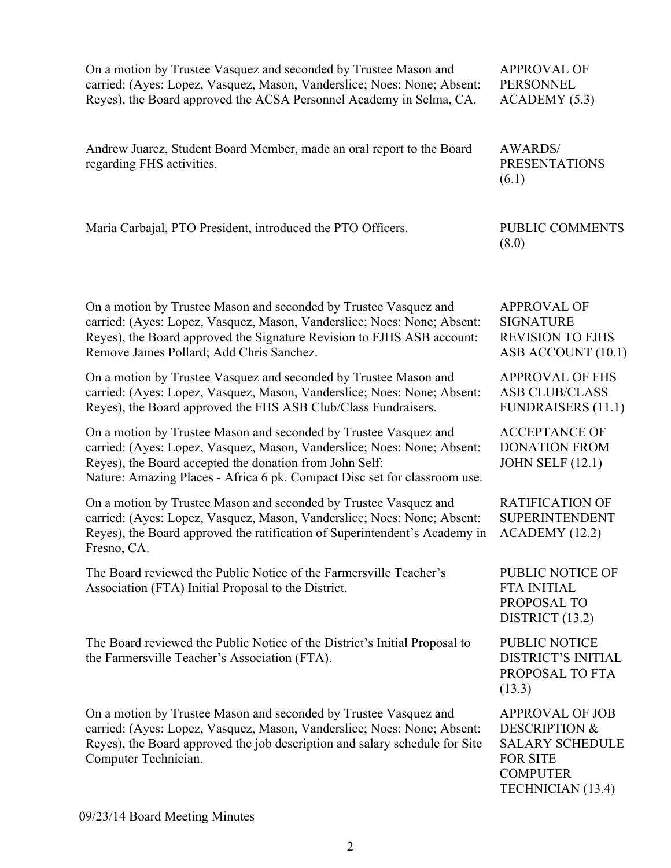| On a motion by Trustee Vasquez and seconded by Trustee Mason and<br>carried: (Ayes: Lopez, Vasquez, Mason, Vanderslice; Noes: None; Absent:<br>Reyes), the Board approved the ACSA Personnel Academy in Selma, CA.                                                                  | <b>APPROVAL OF</b><br><b>PERSONNEL</b><br>ACADEMY(5.3)                                                                                  |
|-------------------------------------------------------------------------------------------------------------------------------------------------------------------------------------------------------------------------------------------------------------------------------------|-----------------------------------------------------------------------------------------------------------------------------------------|
| Andrew Juarez, Student Board Member, made an oral report to the Board<br>regarding FHS activities.                                                                                                                                                                                  | <b>AWARDS/</b><br><b>PRESENTATIONS</b><br>(6.1)                                                                                         |
| Maria Carbajal, PTO President, introduced the PTO Officers.                                                                                                                                                                                                                         | PUBLIC COMMENTS<br>(8.0)                                                                                                                |
| On a motion by Trustee Mason and seconded by Trustee Vasquez and<br>carried: (Ayes: Lopez, Vasquez, Mason, Vanderslice; Noes: None; Absent:<br>Reyes), the Board approved the Signature Revision to FJHS ASB account:<br>Remove James Pollard; Add Chris Sanchez.                   | <b>APPROVAL OF</b><br><b>SIGNATURE</b><br><b>REVISION TO FJHS</b><br>ASB ACCOUNT (10.1)                                                 |
| On a motion by Trustee Vasquez and seconded by Trustee Mason and<br>carried: (Ayes: Lopez, Vasquez, Mason, Vanderslice; Noes: None; Absent:<br>Reyes), the Board approved the FHS ASB Club/Class Fundraisers.                                                                       | <b>APPROVAL OF FHS</b><br><b>ASB CLUB/CLASS</b><br><b>FUNDRAISERS (11.1)</b>                                                            |
| On a motion by Trustee Mason and seconded by Trustee Vasquez and<br>carried: (Ayes: Lopez, Vasquez, Mason, Vanderslice; Noes: None; Absent:<br>Reyes), the Board accepted the donation from John Self:<br>Nature: Amazing Places - Africa 6 pk. Compact Disc set for classroom use. | <b>ACCEPTANCE OF</b><br><b>DONATION FROM</b><br><b>JOHN SELF (12.1)</b>                                                                 |
| On a motion by Trustee Mason and seconded by Trustee Vasquez and<br>carried: (Ayes: Lopez, Vasquez, Mason, Vanderslice; Noes: None; Absent:<br>Reyes), the Board approved the ratification of Superintendent's Academy in<br>Fresno, CA.                                            | <b>RATIFICATION OF</b><br><b>SUPERINTENDENT</b><br>ACADEMY (12.2)                                                                       |
| The Board reviewed the Public Notice of the Farmersville Teacher's<br>Association (FTA) Initial Proposal to the District.                                                                                                                                                           | <b>PUBLIC NOTICE OF</b><br><b>FTA INITIAL</b><br>PROPOSAL TO<br>DISTRICT (13.2)                                                         |
| The Board reviewed the Public Notice of the District's Initial Proposal to<br>the Farmersville Teacher's Association (FTA).                                                                                                                                                         | PUBLIC NOTICE<br><b>DISTRICT'S INITIAL</b><br>PROPOSAL TO FTA<br>(13.3)                                                                 |
| On a motion by Trustee Mason and seconded by Trustee Vasquez and<br>carried: (Ayes: Lopez, Vasquez, Mason, Vanderslice; Noes: None; Absent:<br>Reyes), the Board approved the job description and salary schedule for Site<br>Computer Technician.                                  | <b>APPROVAL OF JOB</b><br><b>DESCRIPTION &amp;</b><br><b>SALARY SCHEDULE</b><br><b>FOR SITE</b><br><b>COMPUTER</b><br>TECHNICIAN (13.4) |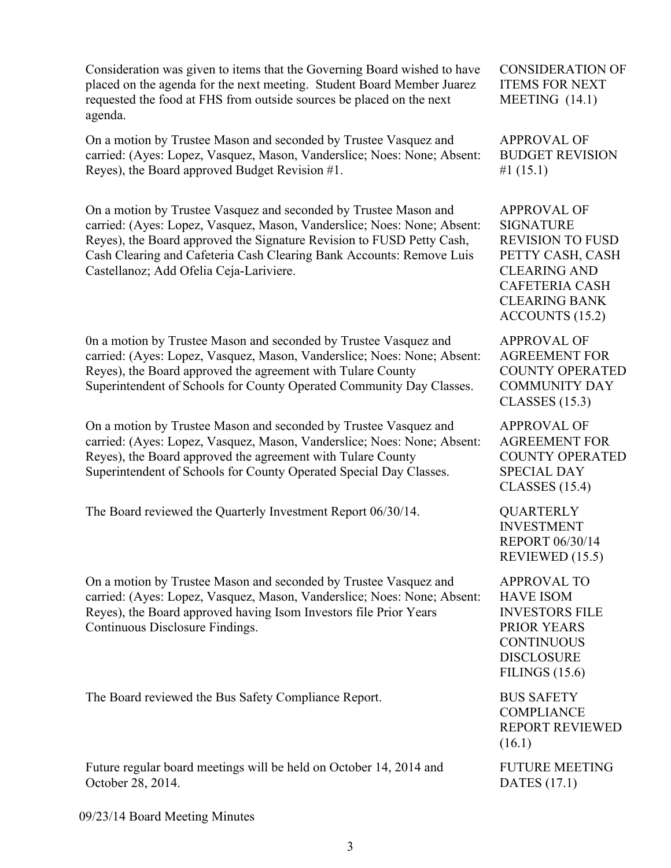Consideration was given to items that the Governing Board wished to have placed on the agenda for the next meeting. Student Board Member Juarez requested the food at FHS from outside sources be placed on the next agenda.

On a motion by Trustee Mason and seconded by Trustee Vasquez and carried: (Ayes: Lopez, Vasquez, Mason, Vanderslice; Noes: None; Absent: Reyes), the Board approved Budget Revision #1.

On a motion by Trustee Vasquez and seconded by Trustee Mason and carried: (Ayes: Lopez, Vasquez, Mason, Vanderslice; Noes: None; Absent: Reyes), the Board approved the Signature Revision to FUSD Petty Cash, Cash Clearing and Cafeteria Cash Clearing Bank Accounts: Remove Luis Castellanoz; Add Ofelia Ceja-Lariviere.

0n a motion by Trustee Mason and seconded by Trustee Vasquez and carried: (Ayes: Lopez, Vasquez, Mason, Vanderslice; Noes: None; Absent: Reyes), the Board approved the agreement with Tulare County Superintendent of Schools for County Operated Community Day Classes.

On a motion by Trustee Mason and seconded by Trustee Vasquez and carried: (Ayes: Lopez, Vasquez, Mason, Vanderslice; Noes: None; Absent: Reyes), the Board approved the agreement with Tulare County Superintendent of Schools for County Operated Special Day Classes.

The Board reviewed the Quarterly Investment Report 06/30/14. QUARTERLY

On a motion by Trustee Mason and seconded by Trustee Vasquez and carried: (Ayes: Lopez, Vasquez, Mason, Vanderslice; Noes: None; Absent: Reyes), the Board approved having Isom Investors file Prior Years Continuous Disclosure Findings.

The Board reviewed the Bus Safety Compliance Report. BUS SAFETY

Future regular board meetings will be held on October 14, 2014 and October 28, 2014.

CONSIDERATION OF ITEMS FOR NEXT MEETING (14.1)

APPROVAL OF BUDGET REVISION #1 (15.1)

APPROVAL OF SIGNATURE REVISION TO FUSD PETTY CASH, CASH CLEARING AND CAFETERIA CASH CLEARING BANK ACCOUNTS (15.2)

APPROVAL OF AGREEMENT FOR COUNTY OPERATED COMMUNITY DAY CLASSES (15.3)

APPROVAL OF AGREEMENT FOR COUNTY OPERATED SPECIAL DAY CLASSES (15.4)

INVESTMENT REPORT 06/30/14 REVIEWED (15.5)

APPROVAL TO HAVE ISOM INVESTORS FILE PRIOR YEARS **CONTINUOUS** DISCLOSURE FILINGS (15.6)

**COMPLIANCE** REPORT REVIEWED (16.1)

FUTURE MEETING DATES (17.1)

09/23/14 Board Meeting Minutes